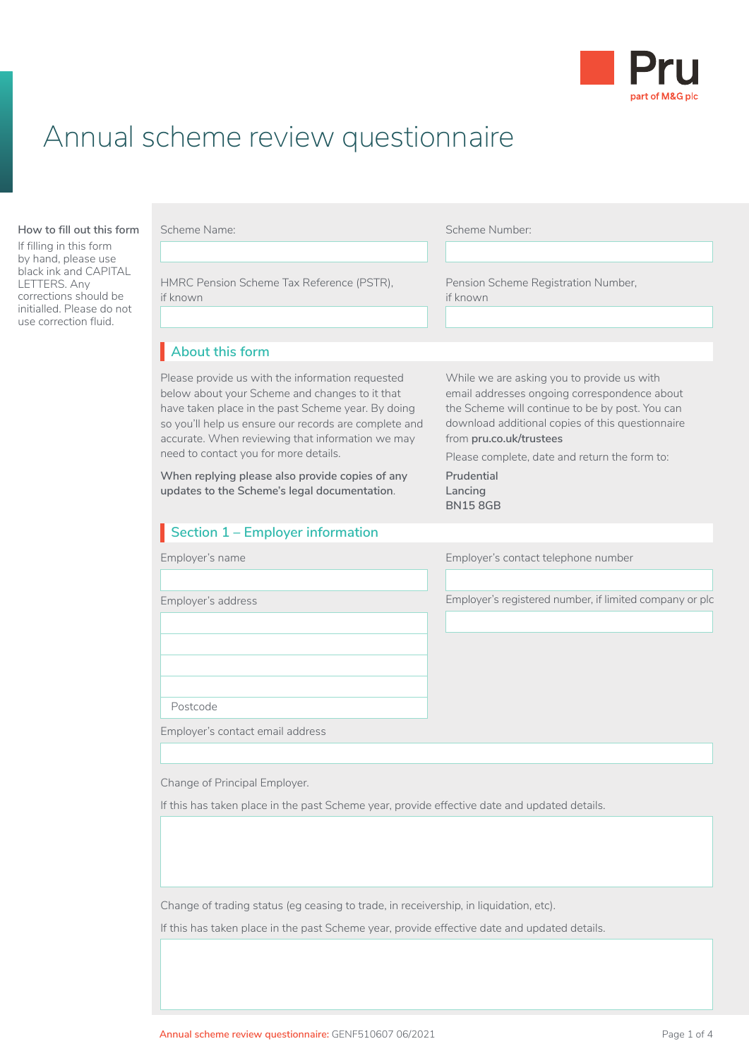

# Annual scheme review questionnaire

#### **About this form How to fill out this form**

If filling in this form by hand, please use black ink and CAPITAL LETTERS. Any corrections should be initialled. Please do not use correction fluid.

| Scheme Name:                                                                                                                                                                                                                                                                                                                                                                                                      | Scheme Number:                                                                                                                                                                                                                                                                                                           |
|-------------------------------------------------------------------------------------------------------------------------------------------------------------------------------------------------------------------------------------------------------------------------------------------------------------------------------------------------------------------------------------------------------------------|--------------------------------------------------------------------------------------------------------------------------------------------------------------------------------------------------------------------------------------------------------------------------------------------------------------------------|
| HMRC Pension Scheme Tax Reference (PSTR),<br>if known                                                                                                                                                                                                                                                                                                                                                             | Pension Scheme Registration Number,<br>if known                                                                                                                                                                                                                                                                          |
| About this form                                                                                                                                                                                                                                                                                                                                                                                                   |                                                                                                                                                                                                                                                                                                                          |
| Please provide us with the information requested<br>below about your Scheme and changes to it that<br>have taken place in the past Scheme year. By doing<br>so you'll help us ensure our records are complete and<br>accurate. When reviewing that information we may<br>need to contact you for more details.<br>When replying please also provide copies of any<br>updates to the Scheme's legal documentation. | While we are asking you to provide us with<br>email addresses ongoing correspondence about<br>the Scheme will continue to be by post. You can<br>download additional copies of this questionnaire<br>from pru.co.uk/trustees<br>Please complete, date and return the form to:<br>Prudential<br>Lancing<br><b>BN158GB</b> |
| Section 1 - Employer information                                                                                                                                                                                                                                                                                                                                                                                  |                                                                                                                                                                                                                                                                                                                          |
| Employer's name                                                                                                                                                                                                                                                                                                                                                                                                   | Employer's contact telephone number                                                                                                                                                                                                                                                                                      |
| Employer's address                                                                                                                                                                                                                                                                                                                                                                                                | Employer's registered number, if limited company or plc                                                                                                                                                                                                                                                                  |
| Postcode<br>Employer's contact email address                                                                                                                                                                                                                                                                                                                                                                      |                                                                                                                                                                                                                                                                                                                          |
|                                                                                                                                                                                                                                                                                                                                                                                                                   |                                                                                                                                                                                                                                                                                                                          |
| Change of Principal Employer.                                                                                                                                                                                                                                                                                                                                                                                     |                                                                                                                                                                                                                                                                                                                          |

Change of trading status (eg ceasing to trade, in receivership, in liquidation, etc).

If this has taken place in the past Scheme year, provide effective date and updated details.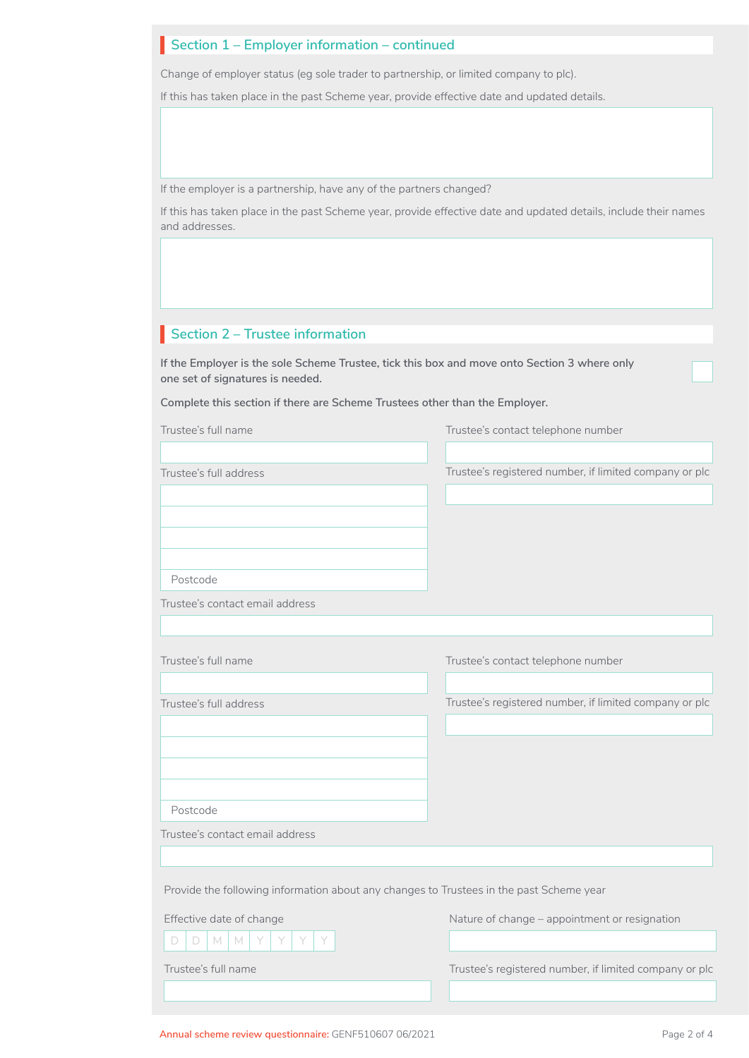## **Section 1 – Employer information – continued**

Change of employer status (eg sole trader to partnership, or limited company to plc).

If this has taken place in the past Scheme year, provide effective date and updated details.

If the employer is a partnership, have any of the partners changed?

If this has taken place in the past Scheme year, provide effective date and updated details, include their names and addresses.

## **Section 2 – Trustee information**

**If the Employer is the sole Scheme Trustee, tick this box and move onto Section 3 where only one set of signatures is needed.**

**Complete this section if there are Scheme Trustees other than the Employer.**

| Trustee's full name                                                                     | Trustee's contact telephone number                     |
|-----------------------------------------------------------------------------------------|--------------------------------------------------------|
|                                                                                         |                                                        |
| Trustee's full address                                                                  | Trustee's registered number, if limited company or plc |
|                                                                                         |                                                        |
| Postcode                                                                                |                                                        |
| Trustee's contact email address                                                         |                                                        |
|                                                                                         |                                                        |
| Trustee's full name                                                                     | Trustee's contact telephone number                     |
| Trustee's full address                                                                  | Trustee's registered number, if limited company or plc |
|                                                                                         |                                                        |
|                                                                                         |                                                        |
| Postcode                                                                                |                                                        |
| Trustee's contact email address                                                         |                                                        |
|                                                                                         |                                                        |
| Provide the following information about any changes to Trustees in the past Scheme year |                                                        |
| Effective date of change                                                                | Nature of change - appointment or resignation          |
| MMY<br>D<br>D                                                                           |                                                        |
| Trustee's full name                                                                     | Trustee's registered number, if limited company or plc |
|                                                                                         |                                                        |

□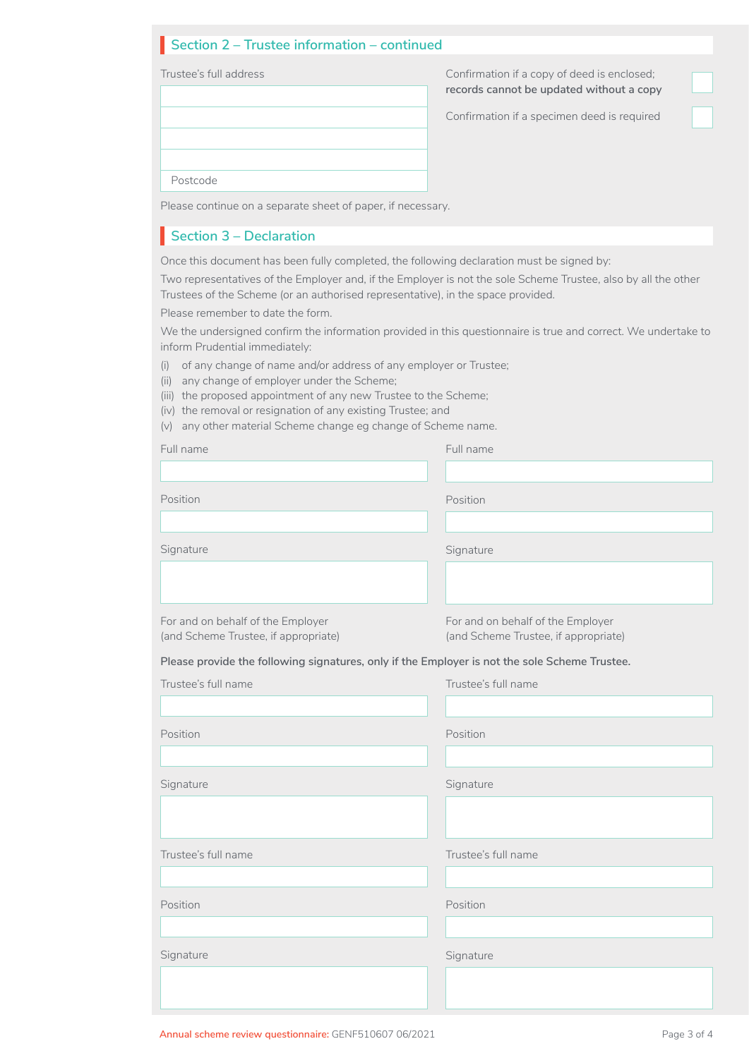## **Section 2 – Trustee information – continued** I

Trustee's full address Postcode

Confirmation if a copy of deed is enclosed; **records cannot be updated without a copy**

□

□

Confirmation if a specimen deed is required

Please continue on a separate sheet of paper, if necessary.

## **Section 3 – Declaration**

Once this document has been fully completed, the following declaration must be signed by:

Two representatives of the Employer and, if the Employer is not the sole Scheme Trustee, also by all the other Trustees of the Scheme (or an authorised representative), in the space provided.

Please remember to date the form.

We the undersigned confirm the information provided in this questionnaire is true and correct. We undertake to inform Prudential immediately:

- (i) of any change of name and/or address of any employer or Trustee;
- (ii) any change of employer under the Scheme;
- (iii) the proposed appointment of any new Trustee to the Scheme;
- (iv) the removal or resignation of any existing Trustee; and
- (v) any other material Scheme change eg change of Scheme name.

| Full name                                                                                     | Full name                            |  |
|-----------------------------------------------------------------------------------------------|--------------------------------------|--|
|                                                                                               |                                      |  |
| Position                                                                                      | Position                             |  |
|                                                                                               |                                      |  |
| Signature                                                                                     | Signature                            |  |
|                                                                                               |                                      |  |
| For and on behalf of the Employer                                                             | For and on behalf of the Employer    |  |
| (and Scheme Trustee, if appropriate)                                                          | (and Scheme Trustee, if appropriate) |  |
| Please provide the following signatures, only if the Employer is not the sole Scheme Trustee. |                                      |  |
| Trustee's full name                                                                           | Trustee's full name                  |  |
|                                                                                               |                                      |  |
| Position                                                                                      | Position                             |  |
|                                                                                               |                                      |  |
| Signature                                                                                     | Signature                            |  |
|                                                                                               |                                      |  |
|                                                                                               |                                      |  |
| Trustee's full name                                                                           | Trustee's full name                  |  |
|                                                                                               |                                      |  |
| Position                                                                                      | Position                             |  |
|                                                                                               |                                      |  |
| Signature                                                                                     | Signature                            |  |
|                                                                                               |                                      |  |
|                                                                                               |                                      |  |
|                                                                                               |                                      |  |